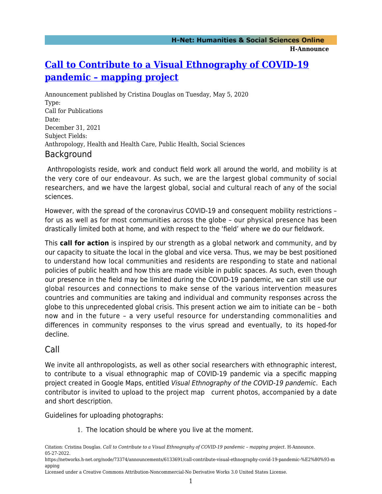# **[Call to Contribute to a Visual Ethnography of COVID-19](https://networks.h-net.org/node/73374/announcements/6133691/call-contribute-visual-ethnography-covid-19-pandemic-%E2%80%93-mapping) [pandemic – mapping project](https://networks.h-net.org/node/73374/announcements/6133691/call-contribute-visual-ethnography-covid-19-pandemic-%E2%80%93-mapping)**

Announcement published by Cristina Douglas on Tuesday, May 5, 2020 Type: Call for Publications Date: December 31, 2021 Subject Fields: Anthropology, Health and Health Care, Public Health, Social Sciences Background

 Anthropologists reside, work and conduct field work all around the world, and mobility is at the very core of our endeavour. As such, we are the largest global community of social researchers, and we have the largest global, social and cultural reach of any of the social sciences.

However, with the spread of the coronavirus COVID-19 and consequent mobility restrictions – for us as well as for most communities across the globe – our physical presence has been drastically limited both at home, and with respect to the 'field' where we do our fieldwork.

This **call for action** is inspired by our strength as a global network and community, and by our capacity to situate the local in the global and vice versa. Thus, we may be best positioned to understand how local communities and residents are responding to state and national policies of public health and how this are made visible in public spaces. As such, even though our presence in the field may be limited during the COVID-19 pandemic, we can still use our global resources and connections to make sense of the various intervention measures countries and communities are taking and individual and community responses across the globe to this unprecedented global crisis. This present action we aim to initiate can be – both now and in the future – a very useful resource for understanding commonalities and differences in community responses to the virus spread and eventually, to its hoped-for decline.

## Call

We invite all anthropologists, as well as other social researchers with ethnographic interest, to contribute to a visual ethnographic map of COVID-19 pandemic via a specific mapping project created in Google Maps, entitled Visual Ethnography of the COVID-19 pandemic. Each contributor is invited to upload to the project map current photos, accompanied by a date and short description.

Guidelines for uploading photographs:

1. The location should be where you live at the moment.

Citation: Cristina Douglas. *Call to Contribute to a Visual Ethnography of COVID-19 pandemic – mapping project*. H-Announce. 05-27-2022.

https://networks.h-net.org/node/73374/announcements/6133691/call-contribute-visual-ethnography-covid-19-pandemic-%E2%80%93-m apping

Licensed under a Creative Commons Attribution-Noncommercial-No Derivative Works 3.0 United States License.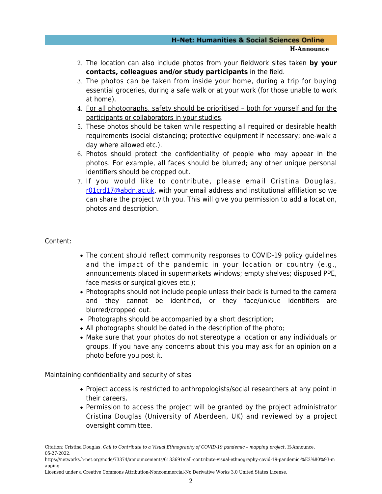#### **H-Net: Humanities & Social Sciences Online H-Announce**

- 2. The location can also include photos from your fieldwork sites taken **by your contacts, colleagues and/or study participants** in the field.
- 3. The photos can be taken from inside your home, during a trip for buying essential groceries, during a safe walk or at your work (for those unable to work at home).
- 4. For all photographs, safety should be prioritised both for yourself and for the participants or collaborators in your studies.
- 5. These photos should be taken while respecting all required or desirable health requirements (social distancing; protective equipment if necessary; one-walk a day where allowed etc.).
- 6. Photos should protect the confidentiality of people who may appear in the photos. For example, all faces should be blurred; any other unique personal identifiers should be cropped out.
- 7. If you would like to contribute, please email Cristina Douglas, [r01crd17@abdn.ac.uk,](mailto:r01crd17@abdn.ac.uk) with your email address and institutional affiliation so we can share the project with you. This will give you permission to add a location, photos and description.

#### Content:

- The content should reflect community responses to COVID-19 policy quidelines and the impact of the pandemic in your location or country (e.g., announcements placed in supermarkets windows; empty shelves; disposed PPE, face masks or surgical gloves etc.);
- Photographs should not include people unless their back is turned to the camera and they cannot be identified, or they face/unique identifiers are blurred/cropped out.
- Photographs should be accompanied by a short description;
- All photographs should be dated in the description of the photo;
- Make sure that your photos do not stereotype a location or any individuals or groups. If you have any concerns about this you may ask for an opinion on a photo before you post it.

Maintaining confidentiality and security of sites

- Project access is restricted to anthropologists/social researchers at any point in their careers.
- Permission to access the project will be granted by the project administrator Cristina Douglas (University of Aberdeen, UK) and reviewed by a project oversight committee.

Citation: Cristina Douglas. *Call to Contribute to a Visual Ethnography of COVID-19 pandemic – mapping project*. H-Announce. 05-27-2022.

https://networks.h-net.org/node/73374/announcements/6133691/call-contribute-visual-ethnography-covid-19-pandemic-%E2%80%93-m apping

Licensed under a Creative Commons Attribution-Noncommercial-No Derivative Works 3.0 United States License.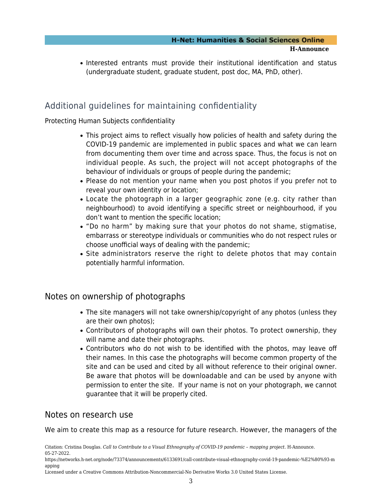• Interested entrants must provide their institutional identification and status (undergraduate student, graduate student, post doc, MA, PhD, other).

## Additional guidelines for maintaining confidentiality

### Protecting Human Subjects confidentiality

- This project aims to reflect visually how policies of health and safety during the COVID-19 pandemic are implemented in public spaces and what we can learn from documenting them over time and across space. Thus, the focus is not on individual people. As such, the project will not accept photographs of the behaviour of individuals or groups of people during the pandemic;
- Please do not mention your name when you post photos if you prefer not to reveal your own identity or location;
- Locate the photograph in a larger geographic zone (e.g. city rather than neighbourhood) to avoid identifying a specific street or neighbourhood, if you don't want to mention the specific location;
- "Do no harm" by making sure that your photos do not shame, stigmatise, embarrass or stereotype individuals or communities who do not respect rules or choose unofficial ways of dealing with the pandemic;
- Site administrators reserve the right to delete photos that may contain potentially harmful information.

### Notes on ownership of photographs

- The site managers will not take ownership/copyright of any photos (unless they are their own photos);
- Contributors of photographs will own their photos. To protect ownership, they will name and date their photographs.
- Contributors who do not wish to be identified with the photos, may leave off their names. In this case the photographs will become common property of the site and can be used and cited by all without reference to their original owner. Be aware that photos will be downloadable and can be used by anyone with permission to enter the site. If your name is not on your photograph, we cannot guarantee that it will be properly cited.

### Notes on research use

We aim to create this map as a resource for future research. However, the managers of the

Citation: Cristina Douglas. *Call to Contribute to a Visual Ethnography of COVID-19 pandemic – mapping project*. H-Announce. 05-27-2022.

Licensed under a Creative Commons Attribution-Noncommercial-No Derivative Works 3.0 United States License.

https://networks.h-net.org/node/73374/announcements/6133691/call-contribute-visual-ethnography-covid-19-pandemic-%E2%80%93-m apping